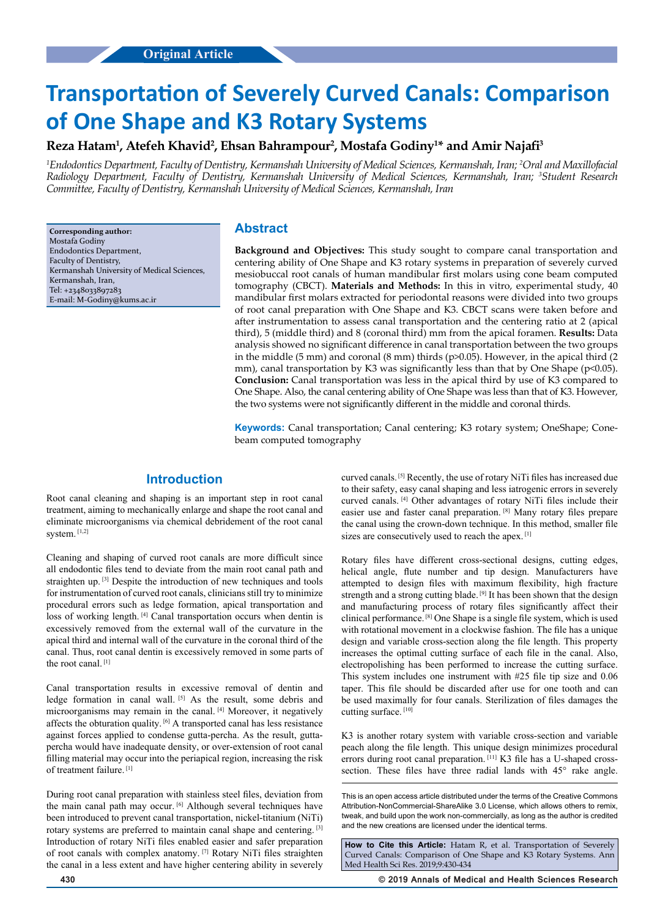# **Transportation of Severely Curved Canals: Comparison of One Shape and K3 Rotary Systems**

# $\,$  Reza Hatam $^1$ , Atefeh Khavid $^2$ , Ehsan Bahrampour $^2$ , Mostafa Godiny $^{1*}$  and Amir Najafi $^3$

*1 Endodontics Department, Faculty of Dentistry, Kermanshah University of Medical Sciences, Kermanshah, Iran; 2 Oral and Maxillofacial Radiology Department, Faculty of Dentistry, Kermanshah University of Medical Sciences, Kermanshah, Iran; 3 Student Research Committee, Faculty of Dentistry, Kermanshah University of Medical Sciences, Kermanshah, Iran*

**Corresponding author:** Mostafa Godiny Endodontics Department, Faculty of Dentistry, Kermanshah University of Medical Sciences, Kermanshah, Iran, Tel: +2348033897283 E-mail: M-Godiny@kums.ac.ir

## **Abstract**

**Background and Objectives:** This study sought to compare canal transportation and centering ability of One Shape and K3 rotary systems in preparation of severely curved mesiobuccal root canals of human mandibular first molars using cone beam computed tomography (CBCT). **Materials and Methods:** In this in vitro, experimental study, 40 mandibular first molars extracted for periodontal reasons were divided into two groups of root canal preparation with One Shape and K3. CBCT scans were taken before and after instrumentation to assess canal transportation and the centering ratio at 2 (apical third), 5 (middle third) and 8 (coronal third) mm from the apical foramen. **Results:** Data analysis showed no significant difference in canal transportation between the two groups in the middle (5 mm) and coronal (8 mm) thirds (p>0.05). However, in the apical third (2 mm), canal transportation by K3 was significantly less than that by One Shape ( $p<0.05$ ). **Conclusion:** Canal transportation was less in the apical third by use of K3 compared to One Shape. Also, the canal centering ability of One Shape was less than that of K3. However, the two systems were not significantly different in the middle and coronal thirds.

**Keywords:** Canal transportation; Canal centering; K3 rotary system; OneShape; Conebeam computed tomography

# **Introduction**

Root canal cleaning and shaping is an important step in root canal treatment, aiming to mechanically enlarge and shape the root canal and eliminate microorganisms via chemical debridement of the root canal system. [1,2]

Cleaning and shaping of curved root canals are more difficult since all endodontic files tend to deviate from the main root canal path and straighten up. [3] Despite the introduction of new techniques and tools for instrumentation of curved root canals, clinicians still try to minimize procedural errors such as ledge formation, apical transportation and loss of working length. [4] Canal transportation occurs when dentin is excessively removed from the external wall of the curvature in the apical third and internal wall of the curvature in the coronal third of the canal. Thus, root canal dentin is excessively removed in some parts of the root canal. [1]

Canal transportation results in excessive removal of dentin and ledge formation in canal wall. [5] As the result, some debris and microorganisms may remain in the canal. [4] Moreover, it negatively affects the obturation quality. [6] A transported canal has less resistance against forces applied to condense gutta-percha. As the result, guttapercha would have inadequate density, or over-extension of root canal filling material may occur into the periapical region, increasing the risk of treatment failure.<sup>[1]</sup>

During root canal preparation with stainless steel files, deviation from the main canal path may occur. [6] Although several techniques have been introduced to prevent canal transportation, nickel-titanium (NiTi) rotary systems are preferred to maintain canal shape and centering. [3] Introduction of rotary NiTi files enabled easier and safer preparation of root canals with complex anatomy. [7] Rotary NiTi files straighten the canal in a less extent and have higher centering ability in severely

curved canals. [5] Recently, the use of rotary NiTi files has increased due to their safety, easy canal shaping and less iatrogenic errors in severely curved canals. [4] Other advantages of rotary NiTi files include their easier use and faster canal preparation. [8] Many rotary files prepare the canal using the crown-down technique. In this method, smaller file sizes are consecutively used to reach the apex. [1]

Rotary files have different cross-sectional designs, cutting edges, helical angle, flute number and tip design. Manufacturers have attempted to design files with maximum flexibility, high fracture strength and a strong cutting blade. <sup>[9]</sup> It has been shown that the design and manufacturing process of rotary files significantly affect their clinical performance.  $[8]$  One Shape is a single file system, which is used with rotational movement in a clockwise fashion. The file has a unique design and variable cross-section along the file length. This property increases the optimal cutting surface of each file in the canal. Also, electropolishing has been performed to increase the cutting surface. This system includes one instrument with #25 file tip size and 0.06 taper. This file should be discarded after use for one tooth and can be used maximally for four canals. Sterilization of files damages the cutting surface. [10]

K3 is another rotary system with variable cross-section and variable peach along the file length. This unique design minimizes procedural errors during root canal preparation. <sup>[11]</sup> K3 file has a U-shaped crosssection. These files have three radial lands with 45° rake angle.

This is an open access article distributed under the terms of the Creative Commons Attribution‑NonCommercial‑ShareAlike 3.0 License, which allows others to remix, tweak, and build upon the work non‑commercially, as long as the author is credited and the new creations are licensed under the identical terms.

**How to Cite this Article:** Hatam R, et al. Transportation of Severely Curved Canals: Comparison of One Shape and K3 Rotary Systems. Ann Med Health Sci Res. 2019;9:430-434

**430 © 2019 Annals of Medical and Health Sciences Research**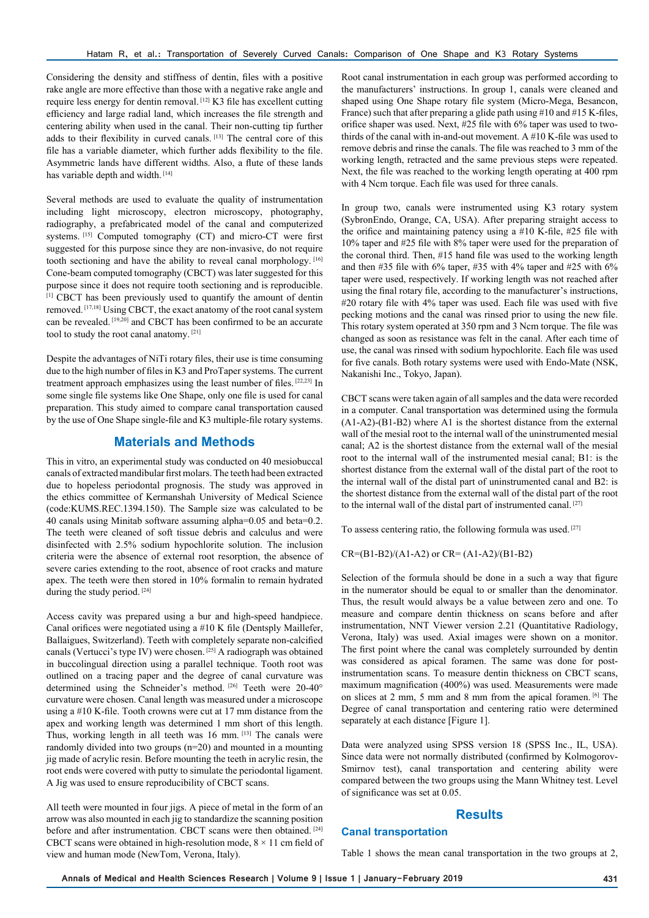Considering the density and stiffness of dentin, files with a positive rake angle are more effective than those with a negative rake angle and require less energy for dentin removal. [12] K3 file has excellent cutting efficiency and large radial land, which increases the file strength and centering ability when used in the canal. Their non-cutting tip further adds to their flexibility in curved canals. [13] The central core of this file has a variable diameter, which further adds flexibility to the file. Asymmetric lands have different widths. Also, a flute of these lands has variable depth and width. [14]

Several methods are used to evaluate the quality of instrumentation including light microscopy, electron microscopy, photography, radiography, a prefabricated model of the canal and computerized systems. [15] Computed tomography (CT) and micro-CT were first suggested for this purpose since they are non-invasive, do not require tooth sectioning and have the ability to reveal canal morphology. [16] Cone-beam computed tomography (CBCT) was later suggested for this purpose since it does not require tooth sectioning and is reproducible. [1] CBCT has been previously used to quantify the amount of dentin removed. [17,18] Using CBCT, the exact anatomy of the root canal system can be revealed. [19,20] and CBCT has been confirmed to be an accurate tool to study the root canal anatomy. [21]

Despite the advantages of NiTi rotary files, their use is time consuming due to the high number of files in K3 and ProTaper systems. The current treatment approach emphasizes using the least number of files. [22,23] In some single file systems like One Shape, only one file is used for canal preparation. This study aimed to compare canal transportation caused by the use of One Shape single-file and K3 multiple-file rotary systems.

# **Materials and Methods**

This in vitro, an experimental study was conducted on 40 mesiobuccal canals of extracted mandibular first molars. The teeth had been extracted due to hopeless periodontal prognosis. The study was approved in the ethics committee of Kermanshah University of Medical Science (code:KUMS.REC.1394.150). The Sample size was calculated to be 40 canals using Minitab software assuming alpha=0.05 and beta=0.2. The teeth were cleaned of soft tissue debris and calculus and were disinfected with 2.5% sodium hypochlorite solution. The inclusion criteria were the absence of external root resorption, the absence of severe caries extending to the root, absence of root cracks and mature apex. The teeth were then stored in 10% formalin to remain hydrated during the study period.<sup>[24]</sup>

Access cavity was prepared using a bur and high-speed handpiece. Canal orifices were negotiated using a #10 K file (Dentsply Maillefer, Ballaigues, Switzerland). Teeth with completely separate non-calcified canals (Vertucci's type IV) were chosen. [25] A radiograph was obtained in buccolingual direction using a parallel technique. Tooth root was outlined on a tracing paper and the degree of canal curvature was determined using the Schneider's method. [26] Teeth were 20-40° curvature were chosen. Canal length was measured under a microscope using a #10 K-file. Tooth crowns were cut at 17 mm distance from the apex and working length was determined 1 mm short of this length. Thus, working length in all teeth was 16 mm. [13] The canals were randomly divided into two groups (n=20) and mounted in a mounting jig made of acrylic resin. Before mounting the teeth in acrylic resin, the root ends were covered with putty to simulate the periodontal ligament. A Jig was used to ensure reproducibility of CBCT scans.

All teeth were mounted in four jigs. A piece of metal in the form of an arrow was also mounted in each jig to standardize the scanning position before and after instrumentation. CBCT scans were then obtained. [24] CBCT scans were obtained in high-resolution mode,  $8 \times 11$  cm field of view and human mode (NewTom, Verona, Italy).

Root canal instrumentation in each group was performed according to the manufacturers' instructions. In group 1, canals were cleaned and shaped using One Shape rotary file system (Micro-Mega, Besancon, France) such that after preparing a glide path using #10 and #15 K-files, orifice shaper was used. Next, #25 file with 6% taper was used to twothirds of the canal with in-and-out movement. A #10 K-file was used to remove debris and rinse the canals. The file was reached to 3 mm of the working length, retracted and the same previous steps were repeated. Next, the file was reached to the working length operating at 400 rpm with 4 Ncm torque. Each file was used for three canals.

In group two, canals were instrumented using K3 rotary system (SybronEndo, Orange, CA, USA). After preparing straight access to the orifice and maintaining patency using a #10 K-file, #25 file with 10% taper and #25 file with 8% taper were used for the preparation of the coronal third. Then, #15 hand file was used to the working length and then #35 file with 6% taper, #35 with 4% taper and #25 with 6% taper were used, respectively. If working length was not reached after using the final rotary file, according to the manufacturer's instructions, #20 rotary file with 4% taper was used. Each file was used with five pecking motions and the canal was rinsed prior to using the new file. This rotary system operated at 350 rpm and 3 Ncm torque. The file was changed as soon as resistance was felt in the canal. After each time of use, the canal was rinsed with sodium hypochlorite. Each file was used for five canals. Both rotary systems were used with Endo-Mate (NSK, Nakanishi Inc., Tokyo, Japan).

CBCT scans were taken again of all samples and the data were recorded in a computer. Canal transportation was determined using the formula (A1-A2)-(B1-B2) where A1 is the shortest distance from the external wall of the mesial root to the internal wall of the uninstrumented mesial canal; A2 is the shortest distance from the external wall of the mesial root to the internal wall of the instrumented mesial canal; B1: is the shortest distance from the external wall of the distal part of the root to the internal wall of the distal part of uninstrumented canal and B2: is the shortest distance from the external wall of the distal part of the root to the internal wall of the distal part of instrumented canal. [27]

To assess centering ratio, the following formula was used. [27]

 $CR = (B1-B2)/(A1-A2)$  or  $CR = (A1-A2)/(B1-B2)$ 

Selection of the formula should be done in a such a way that figure in the numerator should be equal to or smaller than the denominator. Thus, the result would always be a value between zero and one. To measure and compare dentin thickness on scans before and after instrumentation, NNT Viewer version 2.21 (Quantitative Radiology, Verona, Italy) was used. Axial images were shown on a monitor. The first point where the canal was completely surrounded by dentin was considered as apical foramen. The same was done for postinstrumentation scans. To measure dentin thickness on CBCT scans, maximum magnification (400%) was used. Measurements were made on slices at 2 mm, 5 mm and 8 mm from the apical foramen. [6] The Degree of canal transportation and centering ratio were determined separately at each distance [Figure 1].

Data were analyzed using SPSS version 18 (SPSS Inc., IL, USA). Since data were not normally distributed (confirmed by Kolmogorov-Smirnov test), canal transportation and centering ability were compared between the two groups using the Mann Whitney test. Level of significance was set at 0.05.

## **Results**

#### **Canal transportation**

Table 1 shows the mean canal transportation in the two groups at 2,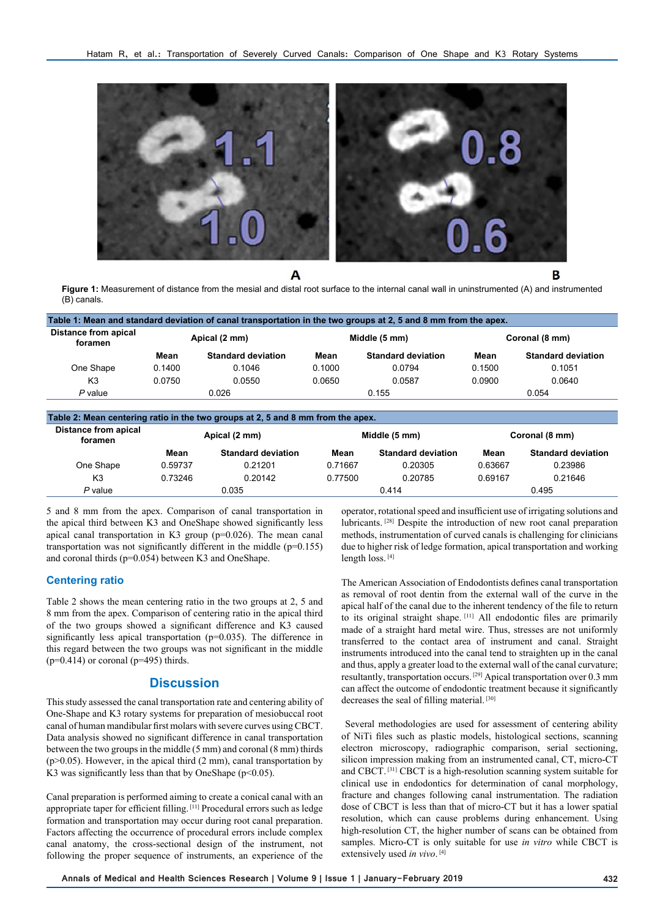

A

B **Figure 1:** Measurement of distance from the mesial and distal root surface to the internal canal wall in uninstrumented (A) and instrumented

| Distance from apical |               |                           |               |                           |                |                           |
|----------------------|---------------|---------------------------|---------------|---------------------------|----------------|---------------------------|
| foramen              | Apical (2 mm) |                           | Middle (5 mm) |                           | Coronal (8 mm) |                           |
|                      | Mean          | <b>Standard deviation</b> | Mean          | <b>Standard deviation</b> | Mean           | <b>Standard deviation</b> |
| One Shape            | 0.1400        | 0.1046                    | 0.1000        | 0.0794                    | 0.1500         | 0.1051                    |
| K <sub>3</sub>       | 0.0750        | 0.0550                    | 0.0650        | 0.0587                    | 0.0900         | 0.0640                    |
| $P$ value            | 0.026         |                           | 0.155         |                           | 0.054          |                           |

| Table 2: Mean centering ratio in the two groups at 2, 5 and 8 mm from the apex. |               |                           |               |                           |                |                           |  |  |  |  |
|---------------------------------------------------------------------------------|---------------|---------------------------|---------------|---------------------------|----------------|---------------------------|--|--|--|--|
| Distance from apical<br>foramen                                                 | Apical (2 mm) |                           | Middle (5 mm) |                           | Coronal (8 mm) |                           |  |  |  |  |
|                                                                                 | Mean          | <b>Standard deviation</b> | Mean          | <b>Standard deviation</b> | Mean           | <b>Standard deviation</b> |  |  |  |  |
| One Shape                                                                       | 0.59737       | 0.21201                   | 0.71667       | 0.20305                   | 0.63667        | 0.23986                   |  |  |  |  |
| K <sub>3</sub>                                                                  | 0.73246       | 0.20142                   | 0.77500       | 0.20785                   | 0.69167        | 0.21646                   |  |  |  |  |
| $P$ value                                                                       | 0.035         |                           | 0.414         |                           | 0.495          |                           |  |  |  |  |

5 and 8 mm from the apex. Comparison of canal transportation in the apical third between K3 and OneShape showed significantly less apical canal transportation in K3 group (p=0.026). The mean canal transportation was not significantly different in the middle  $(p=0.155)$ and coronal thirds (p=0.054) between K3 and OneShape.

### **Centering ratio**

(B) canals.

Table 2 shows the mean centering ratio in the two groups at 2, 5 and 8 mm from the apex. Comparison of centering ratio in the apical third of the two groups showed a significant difference and K3 caused significantly less apical transportation (p=0.035). The difference in this regard between the two groups was not significant in the middle  $(p=0.414)$  or coronal  $(p=495)$  thirds.

#### **Discussion**

This study assessed the canal transportation rate and centering ability of One-Shape and K3 rotary systems for preparation of mesiobuccal root canal of human mandibular first molars with severe curves using CBCT. Data analysis showed no significant difference in canal transportation between the two groups in the middle (5 mm) and coronal (8 mm) thirds  $(p>0.05)$ . However, in the apical third  $(2 \text{ mm})$ , canal transportation by K3 was significantly less than that by OneShape ( $p<0.05$ ).

Canal preparation is performed aiming to create a conical canal with an appropriate taper for efficient filling. [11] Procedural errors such as ledge formation and transportation may occur during root canal preparation. Factors affecting the occurrence of procedural errors include complex canal anatomy, the cross-sectional design of the instrument, not following the proper sequence of instruments, an experience of the operator, rotational speed and insufficient use of irrigating solutions and lubricants. [28] Despite the introduction of new root canal preparation methods, instrumentation of curved canals is challenging for clinicians due to higher risk of ledge formation, apical transportation and working length loss. [4]

The American Association of Endodontists defines canal transportation as removal of root dentin from the external wall of the curve in the apical half of the canal due to the inherent tendency of the file to return to its original straight shape. [11] All endodontic files are primarily made of a straight hard metal wire. Thus, stresses are not uniformly transferred to the contact area of instrument and canal. Straight instruments introduced into the canal tend to straighten up in the canal and thus, apply a greater load to the external wall of the canal curvature; resultantly, transportation occurs. [29] Apical transportation over 0.3 mm can affect the outcome of endodontic treatment because it significantly decreases the seal of filling material. [30]

 Several methodologies are used for assessment of centering ability of NiTi files such as plastic models, histological sections, scanning electron microscopy, radiographic comparison, serial sectioning, silicon impression making from an instrumented canal, CT, micro-CT and CBCT. [31] CBCT is a high-resolution scanning system suitable for clinical use in endodontics for determination of canal morphology, fracture and changes following canal instrumentation. The radiation dose of CBCT is less than that of micro-CT but it has a lower spatial resolution, which can cause problems during enhancement. Using high-resolution CT, the higher number of scans can be obtained from samples. Micro-CT is only suitable for use *in vitro* while CBCT is extensively used *in vivo*. [4]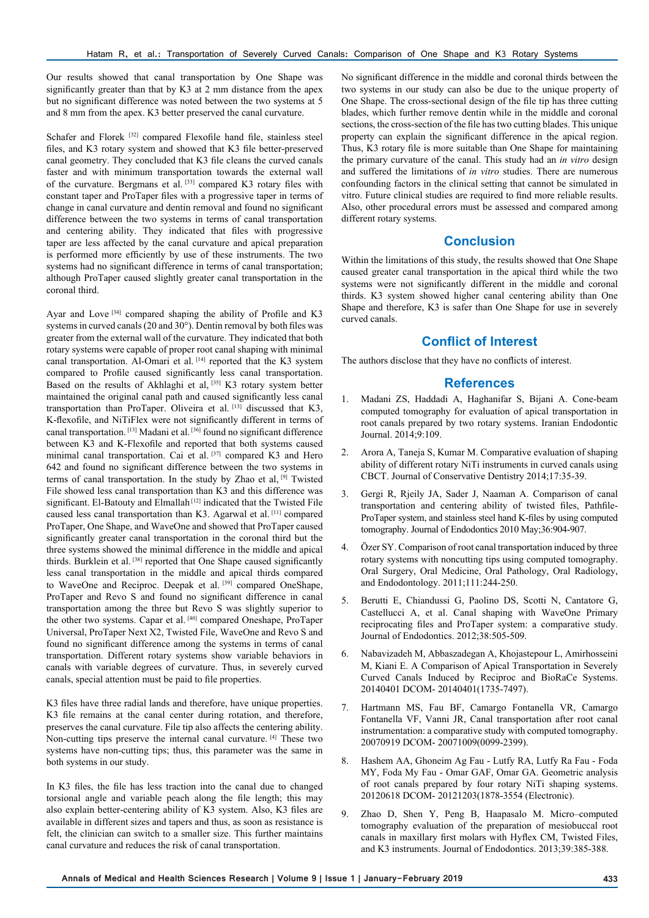Our results showed that canal transportation by One Shape was significantly greater than that by K3 at 2 mm distance from the apex but no significant difference was noted between the two systems at 5 and 8 mm from the apex. K3 better preserved the canal curvature.

Schafer and Florek [32] compared Flexofile hand file, stainless steel files, and K3 rotary system and showed that K3 file better-preserved canal geometry. They concluded that K3 file cleans the curved canals faster and with minimum transportation towards the external wall of the curvature. Bergmans et al. [33] compared K3 rotary files with constant taper and ProTaper files with a progressive taper in terms of change in canal curvature and dentin removal and found no significant difference between the two systems in terms of canal transportation and centering ability. They indicated that files with progressive taper are less affected by the canal curvature and apical preparation is performed more efficiently by use of these instruments. The two systems had no significant difference in terms of canal transportation; although ProTaper caused slightly greater canal transportation in the coronal third.

Ayar and Love<sup>[34]</sup> compared shaping the ability of Profile and K3 systems in curved canals  $(20 \text{ and } 30^{\circ})$ . Dentin removal by both files was greater from the external wall of the curvature. They indicated that both rotary systems were capable of proper root canal shaping with minimal canal transportation. Al-Omari et al.  $[14]$  reported that the K3 system compared to Profile caused significantly less canal transportation. Based on the results of Akhlaghi et al, [35] K3 rotary system better maintained the original canal path and caused significantly less canal transportation than ProTaper. Oliveira et al. [13] discussed that K3, K-flexofile, and NiTiFlex were not significantly different in terms of canal transportation. [13] Madani et al. [36] found no significant difference between K3 and K-Flexofile and reported that both systems caused minimal canal transportation. Cai et al. [37] compared K3 and Hero 642 and found no significant difference between the two systems in terms of canal transportation. In the study by Zhao et al, [9] Twisted File showed less canal transportation than K3 and this difference was significant. El-Batouty and Elmallah<sup>[12]</sup> indicated that the Twisted File caused less canal transportation than K3. Agarwal et al. [11] compared ProTaper, One Shape, and WaveOne and showed that ProTaper caused significantly greater canal transportation in the coronal third but the three systems showed the minimal difference in the middle and apical thirds. Burklein et al.<sup>[38]</sup> reported that One Shape caused significantly less canal transportation in the middle and apical thirds compared to WaveOne and Reciproc. Deepak et al. [39] compared OneShape, ProTaper and Revo S and found no significant difference in canal transportation among the three but Revo S was slightly superior to the other two systems. Capar et al. [40] compared Oneshape, ProTaper Universal, ProTaper Next X2, Twisted File, WaveOne and Revo S and found no significant difference among the systems in terms of canal transportation. Different rotary systems show variable behaviors in canals with variable degrees of curvature. Thus, in severely curved canals, special attention must be paid to file properties.

K3 files have three radial lands and therefore, have unique properties. K3 file remains at the canal center during rotation, and therefore, preserves the canal curvature. File tip also affects the centering ability. Non-cutting tips preserve the internal canal curvature. [4] These two systems have non-cutting tips; thus, this parameter was the same in both systems in our study.

In K3 files, the file has less traction into the canal due to changed torsional angle and variable peach along the file length; this may also explain better-centering ability of K3 system. Also, K3 files are available in different sizes and tapers and thus, as soon as resistance is felt, the clinician can switch to a smaller size. This further maintains canal curvature and reduces the risk of canal transportation.

No significant difference in the middle and coronal thirds between the two systems in our study can also be due to the unique property of One Shape. The cross-sectional design of the file tip has three cutting blades, which further remove dentin while in the middle and coronal sections, the cross-section of the file has two cutting blades. This unique property can explain the significant difference in the apical region. Thus, K3 rotary file is more suitable than One Shape for maintaining the primary curvature of the canal. This study had an *in vitro* design and suffered the limitations of *in vitro* studies. There are numerous confounding factors in the clinical setting that cannot be simulated in vitro. Future clinical studies are required to find more reliable results. Also, other procedural errors must be assessed and compared among different rotary systems.

# **Conclusion**

Within the limitations of this study, the results showed that One Shape caused greater canal transportation in the apical third while the two systems were not significantly different in the middle and coronal thirds. K3 system showed higher canal centering ability than One Shape and therefore, K3 is safer than One Shape for use in severely curved canals.

# **Conflict of Interest**

The authors disclose that they have no conflicts of interest.

#### **References**

- 1. Madani ZS, Haddadi A, Haghanifar S, Bijani A. Cone-beam computed tomography for evaluation of apical transportation in root canals prepared by two rotary systems. Iranian Endodontic Journal. 2014;9:109.
- 2. Arora A, Taneja S, Kumar M. Comparative evaluation of shaping ability of different rotary NiTi instruments in curved canals using CBCT. Journal of Conservative Dentistry 2014;17:35-39.
- 3. Gergi R, Rjeily JA, Sader J, Naaman A. Comparison of canal transportation and centering ability of twisted files, Pathfile-ProTaper system, and stainless steel hand K-files by using computed tomography. Journal of Endodontics 2010 May;36:904-907.
- Özer SY. Comparison of root canal transportation induced by three rotary systems with noncutting tips using computed tomography. Oral Surgery, Oral Medicine, Oral Pathology, Oral Radiology, and Endodontology. 2011;111:244-250.
- 5. Berutti E, Chiandussi G, Paolino DS, Scotti N, Cantatore G, Castellucci A, et al. Canal shaping with WaveOne Primary reciprocating files and ProTaper system: a comparative study. Journal of Endodontics. 2012;38:505-509.
- 6. Nabavizadeh M, Abbaszadegan A, Khojastepour L, Amirhosseini M, Kiani E. A Comparison of Apical Transportation in Severely Curved Canals Induced by Reciproc and BioRaCe Systems. 20140401 DCOM- 20140401(1735-7497).
- 7. Hartmann MS, Fau BF, Camargo Fontanella VR, Camargo Fontanella VF, Vanni JR, Canal transportation after root canal instrumentation: a comparative study with computed tomography. 20070919 DCOM- 20071009(0099-2399).
- 8. Hashem AA, Ghoneim Ag Fau Lutfy RA, Lutfy Ra Fau Foda MY, Foda My Fau - Omar GAF, Omar GA. Geometric analysis of root canals prepared by four rotary NiTi shaping systems. 20120618 DCOM- 20121203(1878-3554 (Electronic).
- 9. Zhao D, Shen Y, Peng B, Haapasalo M. Micro–computed tomography evaluation of the preparation of mesiobuccal root canals in maxillary first molars with Hyflex CM, Twisted Files, and K3 instruments. Journal of Endodontics. 2013;39:385-388.